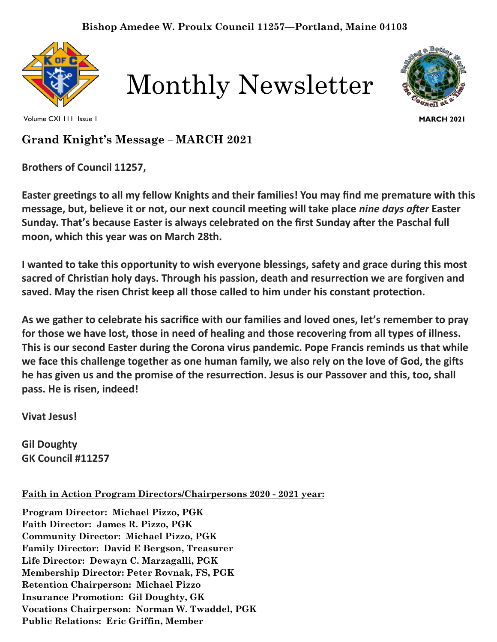

Monthly Newsletter



Volume CXI 111 Issue 1

**MARCH 2021**

# **Grand Knight's Message – MARCH 2021**

**Brothers of Council 11257,**

**Easter greetings to all my fellow Knights and their families! You may find me premature with this message, but, believe it or not, our next council meeting will take place** *nine days after* **Easter Sunday. That's because Easter is always celebrated on the first Sunday after the Paschal full moon, which this year was on March 28th.**

**I wanted to take this opportunity to wish everyone blessings, safety and grace during this most sacred of Christian holy days. Through his passion, death and resurrection we are forgiven and saved. May the risen Christ keep all those called to him under his constant protection.**

**As we gather to celebrate his sacrifice with our families and loved ones, let's remember to pray for those we have lost, those in need of healing and those recovering from all types of illness. This is our second Easter during the Corona virus pandemic. Pope Francis reminds us that while we face this challenge together as one human family, we also rely on the love of God, the gifts he has given us and the promise of the resurrection. Jesus is our Passover and this, too, shall pass. He is risen, indeed!**

**Vivat Jesus!**

**Gil Doughty GK Council #11257**

**Faith in Action Program Directors/Chairpersons 2020 - 2021 year:**

**Program Director: Michael Pizzo, PGK Faith Director: James R. Pizzo, PGK Community Director: Michael Pizzo, PGK Family Director: David E Bergson, Treasurer Life Director: Dewayn C. Marzagalli, PGK Membership Director: Peter Rovnak, FS, PGK Retention Chairperson: Michael Pizzo Insurance Promotion: Gil Doughty, GK Vocations Chairperson: Norman W. Twaddel, PGK Public Relations: Eric Griffin, Member**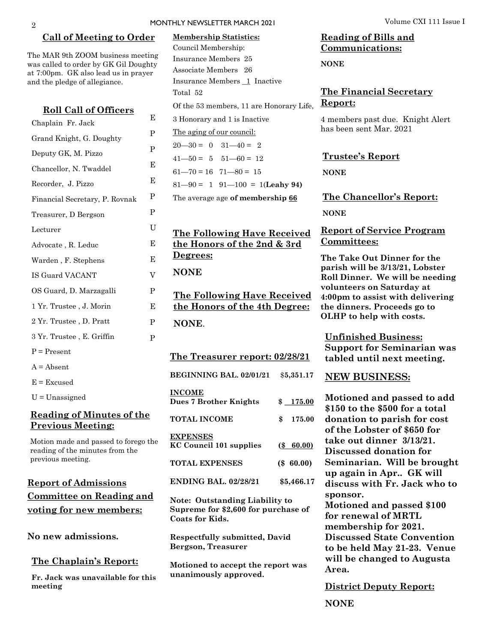#### **Call of Meeting to Order**

The MAR 9th ZOOM business meeting was called to order by GK Gil Doughty at 7:00pm. GK also lead us in prayer and the pledge of allegiance.

| <u>Roll Call of Officers</u>   |             |
|--------------------------------|-------------|
| Chaplain Fr. Jack              | Е           |
| Grand Knight, G. Doughty       | P           |
| Deputy GK, M. Pizzo            | $\mathbf P$ |
| Chancellor, N. Twaddel         | E           |
| Recorder, J. Pizzo             | E           |
| Financial Secretary, P. Rovnak | P           |
| Treasurer, D Bergson           | P           |
| Lecturer                       | U           |
| Advocate, R. Leduc             | Е           |
| Warden, F. Stephens            | E           |
| IS Guard VACANT                | V           |
| OS Guard, D. Marzagalli        | P           |
| 1 Yr. Trustee, J. Morin        | E           |
| 2 Yr. Trustee, D. Pratt        | P           |
| 3 Yr. Trustee, E. Griffin      | P           |
| $P = Present$                  |             |
| $A = Absent$                   |             |
| $E = Excused$                  |             |
| $U =$ Unassigned               |             |
|                                |             |

### **Reading of Minutes of the Previous Meeting:**

Motion made and passed to forego the reading of the minutes from the previous meeting.

## **Report of Admissions Committee on Reading and voting for new members:**

**No new admissions.** 

#### **The Chaplain's Report:**

**Fr. Jack was unavailable for this meeting**

| <b>Membership Statistics:</b>                                                                          |              |  |
|--------------------------------------------------------------------------------------------------------|--------------|--|
| Council Membership:                                                                                    |              |  |
| Insurance Members 25                                                                                   |              |  |
| Associate Members 26                                                                                   |              |  |
| Insurance Members 1 Inactive                                                                           |              |  |
| Total 52                                                                                               |              |  |
| Of the 53 members, 11 are Honorary Life,                                                               |              |  |
| 3 Honorary and 1 is Inactive                                                                           |              |  |
| The aging of our council:                                                                              |              |  |
| $20 - 30 = 0$ $31 - 40 = 2$                                                                            |              |  |
| $41 - 50 = 5$ $51 - 60 = 12$                                                                           |              |  |
| $61 - 70 = 16$ $71 - 80 = 15$                                                                          |              |  |
| $81-90 = 1$ $91-100 = 1$ (Leahy 94)                                                                    |              |  |
| The average age of membership 66                                                                       |              |  |
|                                                                                                        |              |  |
|                                                                                                        |              |  |
| <b>The Following Have Received</b>                                                                     |              |  |
| <u>the Honors of the 2nd &amp; 3rd</u>                                                                 |              |  |
| <u>Degrees:</u>                                                                                        |              |  |
| <b>NONE</b>                                                                                            |              |  |
|                                                                                                        |              |  |
| <u>The Following Have Received</u><br><u>the Honors of the 4th Degree:</u>                             |              |  |
|                                                                                                        |              |  |
| NONE.                                                                                                  |              |  |
|                                                                                                        |              |  |
| <u>The Treasurer report: 02/28/21</u>                                                                  |              |  |
| <b>BEGINNING BAL. 02/01/21</b>                                                                         | \$5,351.17   |  |
| <b>INCOME</b><br><b>Dues 7 Brother Knights</b>                                                         | \$175.00     |  |
| <b>TOTAL INCOME</b>                                                                                    | \$<br>175.00 |  |
| <b>EXPENSES</b><br><b>KC Council 101 supplies</b>                                                      | (\$60.00)    |  |
| <b>TOTAL EXPENSES</b>                                                                                  | $(\$ 60.00)$ |  |
| <b>ENDING BAL. 02/28/21</b>                                                                            | \$5,466.17   |  |
| <b>Note: Outstanding Liability to</b><br>Supreme for \$2,600 for purchase of<br><b>Coats for Kids.</b> |              |  |
| <b>Respectfully submitted, David</b><br><b>Bergson, Treasurer</b>                                      |              |  |
| Motioned to accept the report was                                                                      |              |  |

**unanimously approved.**

## **Reading of Bills and Communications:**

**NONE** 

### **The Financial Secretary Report:**

4 members past due. Knight Alert has been sent Mar. 2021

#### **Trustee's Report**

**NONE**

**The Chancellor's Report: NONE**

#### **Report of Service Program Committees:**

**The Take Out Dinner for the parish will be 3/13/21, Lobster Roll Dinner. We will be needing volunteers on Saturday at 4:00pm to assist with delivering the dinners. Proceeds go to OLHP to help with costs.** 

**Unfinished Business: Support for Seminarian was tabled until next meeting.** 

#### **NEW BUSINESS:**

**Motioned and passed to add \$150 to the \$500 for a total donation to parish for cost of the Lobster of \$650 for take out dinner 3/13/21. Discussed donation for Seminarian. Will be brought up again in Apr.. GK will discuss with Fr. Jack who to sponsor. Motioned and passed \$100 for renewal of MRTL membership for 2021. Discussed State Convention to be held May 21-23. Venue will be changed to Augusta Area.**

**District Deputy Report:**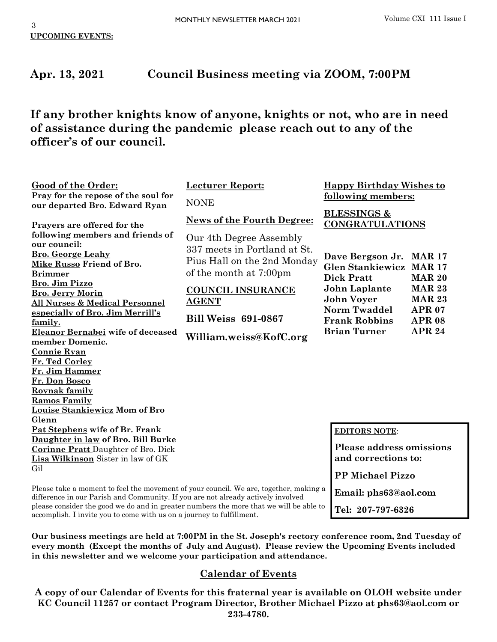**Email: phs63@aol.com**

**Tel: 207-797-6326**

# **Apr. 13, 2021 Council Business meeting via ZOOM, 7:00PM**

**If any brother knights know of anyone, knights or not, who are in need of assistance during the pandemic please reach out to any of the officer's of our council.**

| Pray for the repose of the soul for<br><b>NONE</b><br>our departed Bro. Edward Ryan<br><b>BLESSINGS &amp;</b><br><b>News of the Fourth Degree:</b><br><b>CONGRATULATIONS</b><br>Prayers are offered for the<br>following members and friends of<br>Our 4th Degree Assembly | <b>Good of the Order:</b> | <b>Lecturer Report:</b>      | <b>Happy Birthday Wishes to</b> |  |
|----------------------------------------------------------------------------------------------------------------------------------------------------------------------------------------------------------------------------------------------------------------------------|---------------------------|------------------------------|---------------------------------|--|
|                                                                                                                                                                                                                                                                            |                           |                              | following members:              |  |
|                                                                                                                                                                                                                                                                            |                           |                              |                                 |  |
| <b>Bro.</b> George Leahy<br>Dave Bergson Jr. MAR 17<br>Pius Hall on the 2nd Monday<br>Mike Russo Friend of Bro.<br><b>Glen Stankiewicz MAR 17</b><br>of the month at 7:00pm<br><b>Brimmer</b><br><b>Dick Pratt</b><br><b>MAR 20</b>                                        | our council:              | 337 meets in Portland at St. |                                 |  |
| <b>Bro. Jim Pizzo</b><br>John Laplante<br><b>MAR 23</b><br><b>COUNCIL INSURANCE</b><br><b>Bro. Jerry Morin</b><br><b>John Voyer</b><br><b>MAR 23</b><br><b>AGENT</b><br>All Nurses & Medical Personnel<br><b>Norm Twaddel</b><br><b>APR 07</b>                             |                           |                              |                                 |  |
| especially of Bro. Jim Merrill's<br><b>Bill Weiss 691-0867</b><br><b>Frank Robbins</b><br><b>APR 08</b><br>family.                                                                                                                                                         |                           |                              |                                 |  |
| <b>Brian Turner</b><br><b>APR 24</b><br>Eleanor Bernabei wife of deceased<br>William.weiss@KofC.org<br>member Domenic.                                                                                                                                                     |                           |                              |                                 |  |
| <b>Connie Ryan</b><br>Fr. Ted Corley<br>Fr. Jim Hammer<br>Fr. Don Bosco<br><b>Rovnak family</b><br><b>Ramos Family</b><br>Louise Stankiewicz Mom of Bro                                                                                                                    |                           |                              |                                 |  |
| Glenn<br>Pat Stephens wife of Br. Frank<br><b>EDITORS NOTE:</b><br>Daughter in law of Bro. Bill Burke<br><b>Please address omissions</b>                                                                                                                                   |                           |                              |                                 |  |
| <b>Corinne Pratt</b> Daughter of Bro. Dick<br>and corrections to:<br>Lisa Wilkinson Sister in law of GK                                                                                                                                                                    |                           |                              |                                 |  |
| Gil<br><b>PP Michael Pizzo</b>                                                                                                                                                                                                                                             |                           |                              |                                 |  |

Please take a moment to feel the movement of your council. We are, together, making a difference in our Parish and Community. If you are not already actively involved please consider the good we do and in greater numbers the more that we will be able to accomplish. I invite you to come with us on a journey to fulfillment.

**Our business meetings are held at 7:00PM in the St. Joseph's rectory conference room, 2nd Tuesday of every month (Except the months of July and August). Please review the Upcoming Events included in this newsletter and we welcome your participation and attendance.** 

### **Calendar of Events**

**A copy of our Calendar of Events for this fraternal year is available on OLOH website under KC Council 11257 or contact Program Director, Brother Michael Pizzo at phs63@aol.com or 233-4780.**